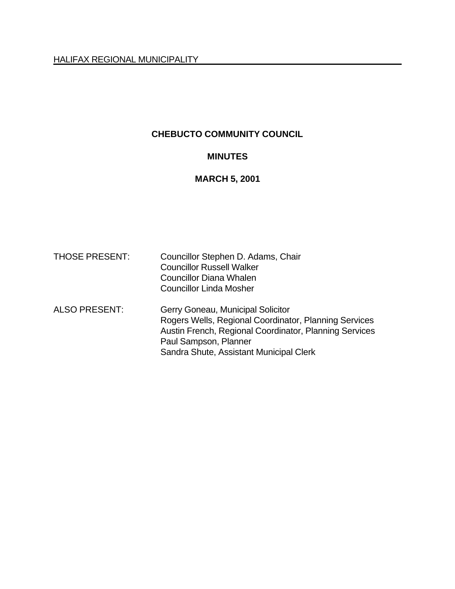### **CHEBUCTO COMMUNITY COUNCIL**

#### **MINUTES**

# **MARCH 5, 2001**

| <b>THOSE PRESENT:</b> | Councillor Stephen D. Adams, Chair<br><b>Councillor Russell Walker</b><br><b>Councillor Diana Whalen</b><br><b>Councillor Linda Mosher</b>                                                                               |
|-----------------------|--------------------------------------------------------------------------------------------------------------------------------------------------------------------------------------------------------------------------|
| <b>ALSO PRESENT:</b>  | Gerry Goneau, Municipal Solicitor<br>Rogers Wells, Regional Coordinator, Planning Services<br>Austin French, Regional Coordinator, Planning Services<br>Paul Sampson, Planner<br>Sandra Shute, Assistant Municipal Clerk |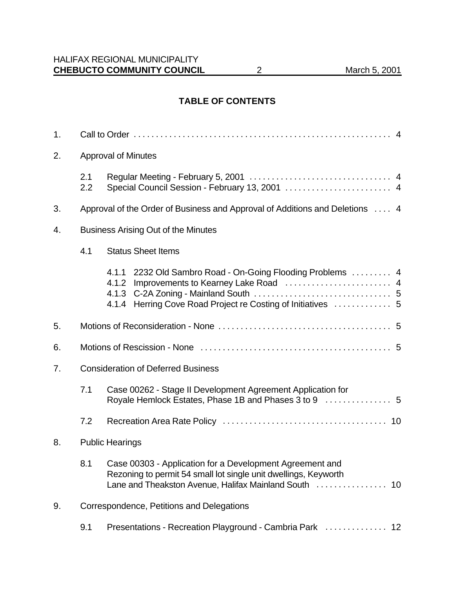#### **TABLE OF CONTENTS**

| 1. |                                  |                                                                                                                                                                                        |  |  |
|----|----------------------------------|----------------------------------------------------------------------------------------------------------------------------------------------------------------------------------------|--|--|
| 2. | <b>Approval of Minutes</b>       |                                                                                                                                                                                        |  |  |
|    | 2.1<br>2.2                       | Special Council Session - February 13, 2001  4                                                                                                                                         |  |  |
| 3. |                                  | Approval of the Order of Business and Approval of Additions and Deletions  4                                                                                                           |  |  |
| 4. |                                  | <b>Business Arising Out of the Minutes</b>                                                                                                                                             |  |  |
|    | 4.1<br><b>Status Sheet Items</b> |                                                                                                                                                                                        |  |  |
|    |                                  | 4.1.1 2232 Old Sambro Road - On-Going Flooding Problems  4<br>4.1.2<br>4.1.3<br>4.1.4 Herring Cove Road Project re Costing of Initiatives  5                                           |  |  |
| 5. |                                  |                                                                                                                                                                                        |  |  |
| 6. |                                  |                                                                                                                                                                                        |  |  |
| 7. |                                  | <b>Consideration of Deferred Business</b>                                                                                                                                              |  |  |
|    | 7.1                              | Case 00262 - Stage II Development Agreement Application for<br>Royale Hemlock Estates, Phase 1B and Phases 3 to 9  5                                                                   |  |  |
|    | 7.2                              |                                                                                                                                                                                        |  |  |
| 8. |                                  | <b>Public Hearings</b>                                                                                                                                                                 |  |  |
|    | 8.1                              | Case 00303 - Application for a Development Agreement and<br>Rezoning to permit 54 small lot single unit dwellings, Keyworth<br>Lane and Theakston Avenue, Halifax Mainland South<br>10 |  |  |
| 9. |                                  | Correspondence, Petitions and Delegations                                                                                                                                              |  |  |
|    | 9.1                              | Presentations - Recreation Playground - Cambria Park  12                                                                                                                               |  |  |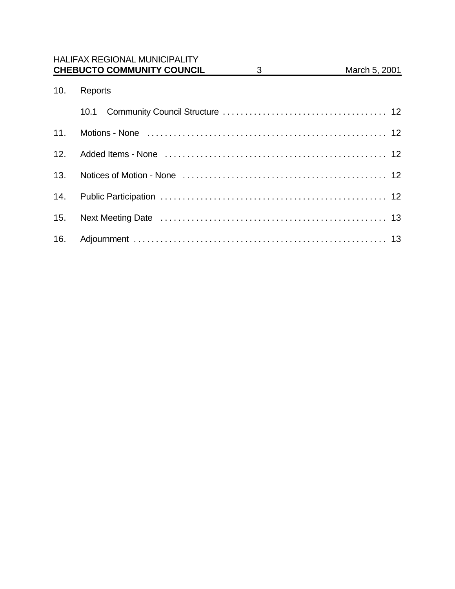|     | <b>HALIFAX REGIONAL MUNICIPALITY</b><br><b>CHEBUCTO COMMUNITY COUNCIL</b> | $3 \quad \qquad$ | March 5, 2001 |
|-----|---------------------------------------------------------------------------|------------------|---------------|
| 10. | Reports                                                                   |                  |               |
|     | 10.1                                                                      |                  |               |
|     |                                                                           |                  |               |
| 12. |                                                                           |                  |               |
| 13. |                                                                           |                  |               |
| 14. |                                                                           |                  |               |
| 15. |                                                                           |                  |               |
| 16. |                                                                           |                  |               |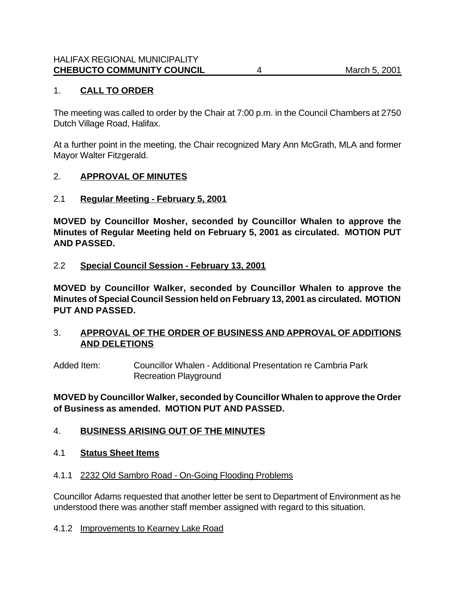#### 1. **CALL TO ORDER**

The meeting was called to order by the Chair at 7:00 p.m. in the Council Chambers at 2750 Dutch Village Road, Halifax.

At a further point in the meeting, the Chair recognized Mary Ann McGrath, MLA and former Mayor Walter Fitzgerald.

#### 2. **APPROVAL OF MINUTES**

#### 2.1 **Regular Meeting - February 5, 2001**

**MOVED by Councillor Mosher, seconded by Councillor Whalen to approve the Minutes of Regular Meeting held on February 5, 2001 as circulated. MOTION PUT AND PASSED.**

#### 2.2 **Special Council Session - February 13, 2001**

**MOVED by Councillor Walker, seconded by Councillor Whalen to approve the Minutes of Special Council Session held on February 13, 2001 as circulated. MOTION PUT AND PASSED.**

#### 3. **APPROVAL OF THE ORDER OF BUSINESS AND APPROVAL OF ADDITIONS AND DELETIONS**

Added Item: Councillor Whalen - Additional Presentation re Cambria Park Recreation Playground

#### **MOVED by Councillor Walker, seconded by Councillor Whalen to approve the Order of Business as amended. MOTION PUT AND PASSED.**

#### 4. **BUSINESS ARISING OUT OF THE MINUTES**

#### 4.1 **Status Sheet Items**

#### 4.1.1 2232 Old Sambro Road - On-Going Flooding Problems

Councillor Adams requested that another letter be sent to Department of Environment as he understood there was another staff member assigned with regard to this situation.

#### 4.1.2 Improvements to Kearney Lake Road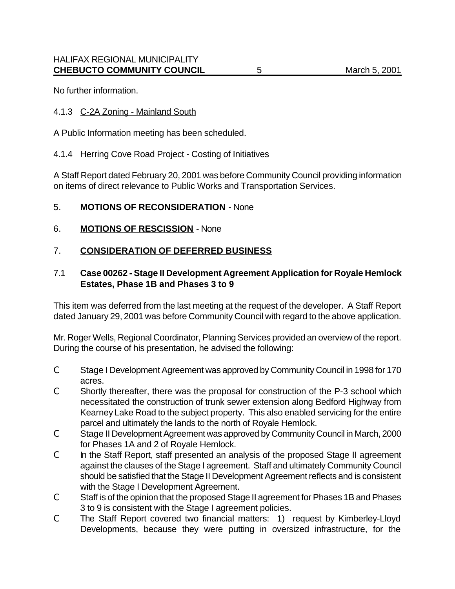No further information.

#### 4.1.3 C-2A Zoning - Mainland South

A Public Information meeting has been scheduled.

#### 4.1.4 Herring Cove Road Project - Costing of Initiatives

A Staff Report dated February 20, 2001 was before Community Council providing information on items of direct relevance to Public Works and Transportation Services.

#### 5. **MOTIONS OF RECONSIDERATION** - None

6. **MOTIONS OF RESCISSION** - None

## 7. **CONSIDERATION OF DEFERRED BUSINESS**

### 7.1 **Case 00262 - Stage II Development Agreement Application for Royale Hemlock Estates, Phase 1B and Phases 3 to 9**

This item was deferred from the last meeting at the request of the developer. A Staff Report dated January 29, 2001 was before Community Council with regard to the above application.

Mr. Roger Wells, Regional Coordinator, Planning Services provided an overview of the report. During the course of his presentation, he advised the following:

- C Stage I Development Agreement was approved by Community Council in 1998 for 170 acres.
- C Shortly thereafter, there was the proposal for construction of the P-3 school which necessitated the construction of trunk sewer extension along Bedford Highway from Kearney Lake Road to the subject property. This also enabled servicing for the entire parcel and ultimately the lands to the north of Royale Hemlock.
- C Stage II Development Agreement was approved by Community Council in March, 2000 for Phases 1A and 2 of Royale Hemlock.
- C In the Staff Report, staff presented an analysis of the proposed Stage II agreement against the clauses of the Stage I agreement. Staff and ultimately Community Council should be satisfied that the Stage II Development Agreement reflects and is consistent with the Stage I Development Agreement.
- C Staff is of the opinion that the proposed Stage II agreement for Phases 1B and Phases 3 to 9 is consistent with the Stage I agreement policies.
- C The Staff Report covered two financial matters: 1) request by Kimberley-Lloyd Developments, because they were putting in oversized infrastructure, for the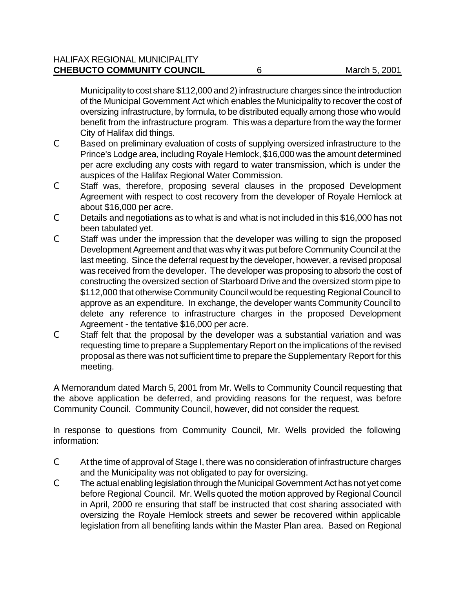Municipality to cost share \$112,000 and 2) infrastructure charges since the introduction of the Municipal Government Act which enables the Municipality to recover the cost of oversizing infrastructure, by formula, to be distributed equally among those who would benefit from the infrastructure program. This was a departure from the way the former City of Halifax did things.

- C Based on preliminary evaluation of costs of supplying oversized infrastructure to the Prince's Lodge area, including Royale Hemlock, \$16,000 was the amount determined per acre excluding any costs with regard to water transmission, which is under the auspices of the Halifax Regional Water Commission.
- C Staff was, therefore, proposing several clauses in the proposed Development Agreement with respect to cost recovery from the developer of Royale Hemlock at about \$16,000 per acre.
- C Details and negotiations as to what is and what is not included in this \$16,000 has not been tabulated yet.
- C Staff was under the impression that the developer was willing to sign the proposed Development Agreement and that was why it was put before Community Council at the last meeting. Since the deferral request by the developer, however, a revised proposal was received from the developer. The developer was proposing to absorb the cost of constructing the oversized section of Starboard Drive and the oversized storm pipe to \$112,000 that otherwise Community Council would be requesting Regional Council to approve as an expenditure. In exchange, the developer wants Community Council to delete any reference to infrastructure charges in the proposed Development Agreement - the tentative \$16,000 per acre.
- C Staff felt that the proposal by the developer was a substantial variation and was requesting time to prepare a Supplementary Report on the implications of the revised proposal as there was not sufficient time to prepare the Supplementary Report for this meeting.

A Memorandum dated March 5, 2001 from Mr. Wells to Community Council requesting that the above application be deferred, and providing reasons for the request, was before Community Council. Community Council, however, did not consider the request.

In response to questions from Community Council, Mr. Wells provided the following information:

- C At the time of approval of Stage I, there was no consideration of infrastructure charges and the Municipality was not obligated to pay for oversizing.
- C The actual enabling legislation through the Municipal Government Act has not yet come before Regional Council. Mr. Wells quoted the motion approved by Regional Council in April, 2000 re ensuring that staff be instructed that cost sharing associated with oversizing the Royale Hemlock streets and sewer be recovered within applicable legislation from all benefiting lands within the Master Plan area. Based on Regional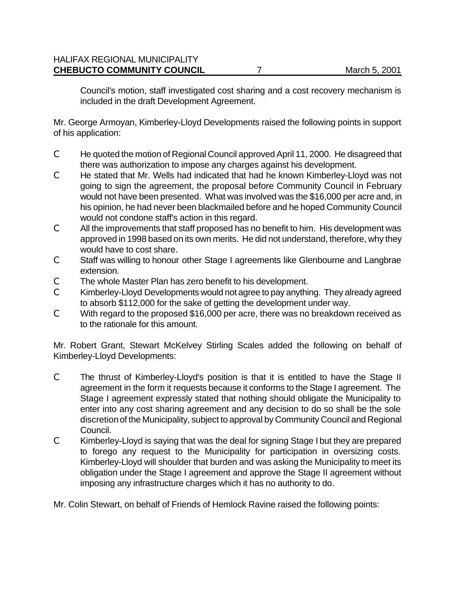Council's motion, staff investigated cost sharing and a cost recovery mechanism is included in the draft Development Agreement.

Mr. George Armoyan, Kimberley-Lloyd Developments raised the following points in support of his application:

- C He quoted the motion of Regional Council approved April 11, 2000. He disagreed that there was authorization to impose any charges against his development.
- C He stated that Mr. Wells had indicated that had he known Kimberley-Lloyd was not going to sign the agreement, the proposal before Community Council in February would not have been presented. What was involved was the \$16,000 per acre and, in his opinion, he had never been blackmailed before and he hoped Community Council would not condone staff's action in this regard.
- C All the improvements that staff proposed has no benefit to him. His development was approved in 1998 based on its own merits. He did not understand, therefore, why they would have to cost share.
- C Staff was willing to honour other Stage I agreements like Glenbourne and Langbrae extension.
- C The whole Master Plan has zero benefit to his development.
- C Kimberley-Lloyd Developments would not agree to pay anything. They already agreed to absorb \$112,000 for the sake of getting the development under way.
- C With regard to the proposed \$16,000 per acre, there was no breakdown received as to the rationale for this amount.

Mr. Robert Grant, Stewart McKelvey Stirling Scales added the following on behalf of Kimberley-Lloyd Developments:

- C The thrust of Kimberley-Lloyd's position is that it is entitled to have the Stage II agreement in the form it requests because it conforms to the Stage I agreement. The Stage I agreement expressly stated that nothing should obligate the Municipality to enter into any cost sharing agreement and any decision to do so shall be the sole discretion of the Municipality, subject to approval by Community Council and Regional Council.
- C Kimberley-Lloyd is saying that was the deal for signing Stage I but they are prepared to forego any request to the Municipality for participation in oversizing costs. Kimberley-Lloyd will shoulder that burden and was asking the Municipality to meet its obligation under the Stage I agreement and approve the Stage II agreement without imposing any infrastructure charges which it has no authority to do.

Mr. Colin Stewart, on behalf of Friends of Hemlock Ravine raised the following points: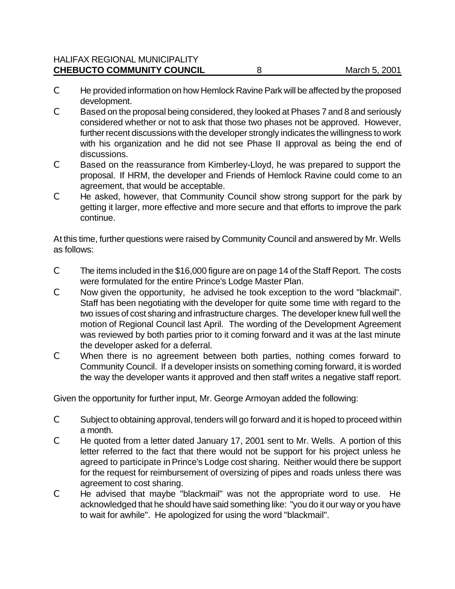- C He provided information on how Hemlock Ravine Park will be affected by the proposed development.
- C Based on the proposal being considered, they looked at Phases 7 and 8 and seriously considered whether or not to ask that those two phases not be approved. However, further recent discussions with the developer strongly indicates the willingness to work with his organization and he did not see Phase II approval as being the end of discussions.
- C Based on the reassurance from Kimberley-Lloyd, he was prepared to support the proposal. If HRM, the developer and Friends of Hemlock Ravine could come to an agreement, that would be acceptable.
- C He asked, however, that Community Council show strong support for the park by getting it larger, more effective and more secure and that efforts to improve the park continue.

At this time, further questions were raised by Community Council and answered by Mr. Wells as follows:

- C The items included in the \$16,000 figure are on page 14 of the Staff Report. The costs were formulated for the entire Prince's Lodge Master Plan.
- C Now given the opportunity, he advised he took exception to the word "blackmail". Staff has been negotiating with the developer for quite some time with regard to the two issues of cost sharing and infrastructure charges. The developer knew full well the motion of Regional Council last April. The wording of the Development Agreement was reviewed by both parties prior to it coming forward and it was at the last minute the developer asked for a deferral.
- C When there is no agreement between both parties, nothing comes forward to Community Council. If a developer insists on something coming forward, it is worded the way the developer wants it approved and then staff writes a negative staff report.

Given the opportunity for further input, Mr. George Armoyan added the following:

- C Subject to obtaining approval, tenders will go forward and it is hoped to proceed within a month.
- C He quoted from a letter dated January 17, 2001 sent to Mr. Wells. A portion of this letter referred to the fact that there would not be support for his project unless he agreed to participate in Prince's Lodge cost sharing. Neither would there be support for the request for reimbursement of oversizing of pipes and roads unless there was agreement to cost sharing.
- C He advised that maybe "blackmail" was not the appropriate word to use. He acknowledged that he should have said something like: "you do it our way or you have to wait for awhile". He apologized for using the word "blackmail".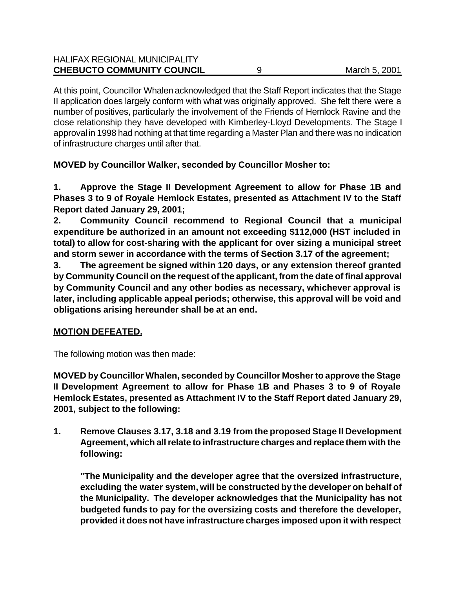| <b>CHEBUCTO COMMUNITY COUNCIL</b>    | March 5, 2001 |
|--------------------------------------|---------------|
| <b>HALIFAX REGIONAL MUNICIPALITY</b> |               |

At this point, Councillor Whalen acknowledged that the Staff Report indicates that the Stage II application does largely conform with what was originally approved. She felt there were a number of positives, particularly the involvement of the Friends of Hemlock Ravine and the close relationship they have developed with Kimberley-Lloyd Developments. The Stage I approval in 1998 had nothing at that time regarding a Master Plan and there was no indication of infrastructure charges until after that.

**MOVED by Councillor Walker, seconded by Councillor Mosher to:**

**1. Approve the Stage II Development Agreement to allow for Phase 1B and Phases 3 to 9 of Royale Hemlock Estates, presented as Attachment IV to the Staff Report dated January 29, 2001;**

**2. Community Council recommend to Regional Council that a municipal expenditure be authorized in an amount not exceeding \$112,000 (HST included in total) to allow for cost-sharing with the applicant for over sizing a municipal street and storm sewer in accordance with the terms of Section 3.17 of the agreement;**

**3. The agreement be signed within 120 days, or any extension thereof granted by Community Council on the request of the applicant, from the date of final approval by Community Council and any other bodies as necessary, whichever approval is later, including applicable appeal periods; otherwise, this approval will be void and obligations arising hereunder shall be at an end.**

#### **MOTION DEFEATED.**

The following motion was then made:

**MOVED by Councillor Whalen, seconded by Councillor Mosher to approve the Stage II Development Agreement to allow for Phase 1B and Phases 3 to 9 of Royale Hemlock Estates, presented as Attachment IV to the Staff Report dated January 29, 2001, subject to the following:** 

**1. Remove Clauses 3.17, 3.18 and 3.19 from the proposed Stage II Development Agreement, which all relate to infrastructure charges and replace them with the following:**

**"The Municipality and the developer agree that the oversized infrastructure, excluding the water system, will be constructed by the developer on behalf of the Municipality. The developer acknowledges that the Municipality has not budgeted funds to pay for the oversizing costs and therefore the developer, provided it does not have infrastructure charges imposed upon it with respect**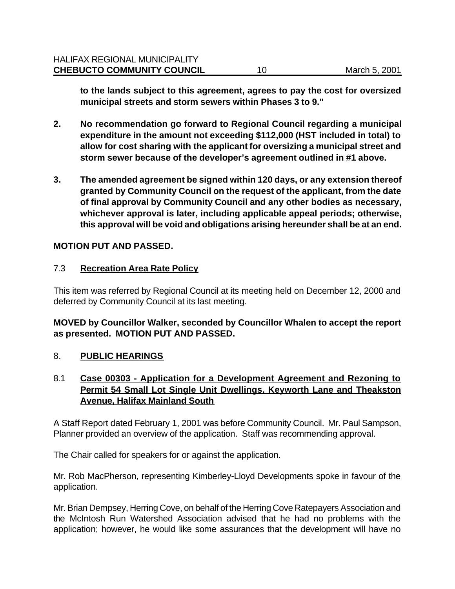**to the lands subject to this agreement, agrees to pay the cost for oversized municipal streets and storm sewers within Phases 3 to 9."**

- **2. No recommendation go forward to Regional Council regarding a municipal expenditure in the amount not exceeding \$112,000 (HST included in total) to allow for cost sharing with the applicant for oversizing a municipal street and storm sewer because of the developer's agreement outlined in #1 above.**
- **3. The amended agreement be signed within 120 days, or any extension thereof granted by Community Council on the request of the applicant, from the date of final approval by Community Council and any other bodies as necessary, whichever approval is later, including applicable appeal periods; otherwise, this approval will be void and obligations arising hereunder shall be at an end.**

#### **MOTION PUT AND PASSED.**

#### 7.3 **Recreation Area Rate Policy**

This item was referred by Regional Council at its meeting held on December 12, 2000 and deferred by Community Council at its last meeting.

### **MOVED by Councillor Walker, seconded by Councillor Whalen to accept the report as presented. MOTION PUT AND PASSED.**

#### 8. **PUBLIC HEARINGS**

### 8.1 **Case 00303 - Application for a Development Agreement and Rezoning to Permit 54 Small Lot Single Unit Dwellings, Keyworth Lane and Theakston Avenue, Halifax Mainland South**

A Staff Report dated February 1, 2001 was before Community Council. Mr. Paul Sampson, Planner provided an overview of the application. Staff was recommending approval.

The Chair called for speakers for or against the application.

Mr. Rob MacPherson, representing Kimberley-Lloyd Developments spoke in favour of the application.

Mr. Brian Dempsey, Herring Cove, on behalf of the Herring Cove Ratepayers Association and the McIntosh Run Watershed Association advised that he had no problems with the application; however, he would like some assurances that the development will have no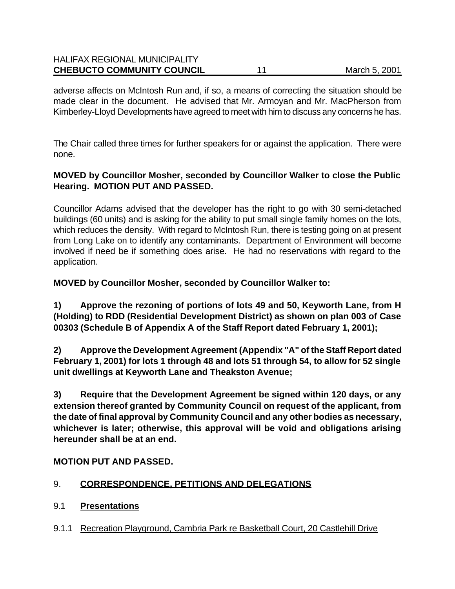| <b>HALIFAX REGIONAL MUNICIPALITY</b> |               |
|--------------------------------------|---------------|
| <b>CHEBUCTO COMMUNITY COUNCIL</b>    | March 5, 2001 |

adverse affects on McIntosh Run and, if so, a means of correcting the situation should be made clear in the document. He advised that Mr. Armoyan and Mr. MacPherson from Kimberley-Lloyd Developments have agreed to meet with him to discuss any concerns he has.

The Chair called three times for further speakers for or against the application. There were none.

#### **MOVED by Councillor Mosher, seconded by Councillor Walker to close the Public Hearing. MOTION PUT AND PASSED.**

Councillor Adams advised that the developer has the right to go with 30 semi-detached buildings (60 units) and is asking for the ability to put small single family homes on the lots, which reduces the density. With regard to McIntosh Run, there is testing going on at present from Long Lake on to identify any contaminants. Department of Environment will become involved if need be if something does arise. He had no reservations with regard to the application.

**MOVED by Councillor Mosher, seconded by Councillor Walker to:**

**1) Approve the rezoning of portions of lots 49 and 50, Keyworth Lane, from H (Holding) to RDD (Residential Development District) as shown on plan 003 of Case 00303 (Schedule B of Appendix A of the Staff Report dated February 1, 2001);**

**2) Approve the Development Agreement (Appendix "A" of the Staff Report dated February 1, 2001) for lots 1 through 48 and lots 51 through 54, to allow for 52 single unit dwellings at Keyworth Lane and Theakston Avenue;**

**3) Require that the Development Agreement be signed within 120 days, or any extension thereof granted by Community Council on request of the applicant, from the date of final approval by Community Council and any other bodies as necessary, whichever is later; otherwise, this approval will be void and obligations arising hereunder shall be at an end.**

### **MOTION PUT AND PASSED.**

### 9. **CORRESPONDENCE, PETITIONS AND DELEGATIONS**

### 9.1 **Presentations**

9.1.1 Recreation Playground, Cambria Park re Basketball Court, 20 Castlehill Drive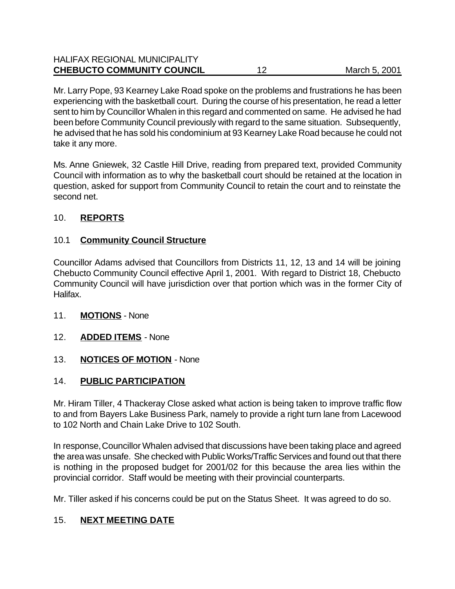| <b>CHEBUCTO COMMUNITY COUNCIL</b>    | March 5, 2001 |
|--------------------------------------|---------------|
| <b>HALIFAX REGIONAL MUNICIPALITY</b> |               |

Mr. Larry Pope, 93 Kearney Lake Road spoke on the problems and frustrations he has been experiencing with the basketball court. During the course of his presentation, he read a letter sent to him by Councillor Whalen in this regard and commented on same. He advised he had been before Community Council previously with regard to the same situation. Subsequently, he advised that he has sold his condominium at 93 Kearney Lake Road because he could not take it any more.

Ms. Anne Gniewek, 32 Castle Hill Drive, reading from prepared text, provided Community Council with information as to why the basketball court should be retained at the location in question, asked for support from Community Council to retain the court and to reinstate the second net.

### 10. **REPORTS**

### 10.1 **Community Council Structure**

Councillor Adams advised that Councillors from Districts 11, 12, 13 and 14 will be joining Chebucto Community Council effective April 1, 2001. With regard to District 18, Chebucto Community Council will have jurisdiction over that portion which was in the former City of Halifax.

- 11. **MOTIONS** None
- 12. **ADDED ITEMS** None
- 13. **NOTICES OF MOTION** None

### 14. **PUBLIC PARTICIPATION**

Mr. Hiram Tiller, 4 Thackeray Close asked what action is being taken to improve traffic flow to and from Bayers Lake Business Park, namely to provide a right turn lane from Lacewood to 102 North and Chain Lake Drive to 102 South.

In response, Councillor Whalen advised that discussions have been taking place and agreed the area was unsafe. She checked with Public Works/Traffic Services and found out that there is nothing in the proposed budget for 2001/02 for this because the area lies within the provincial corridor. Staff would be meeting with their provincial counterparts.

Mr. Tiller asked if his concerns could be put on the Status Sheet. It was agreed to do so.

# 15. **NEXT MEETING DATE**